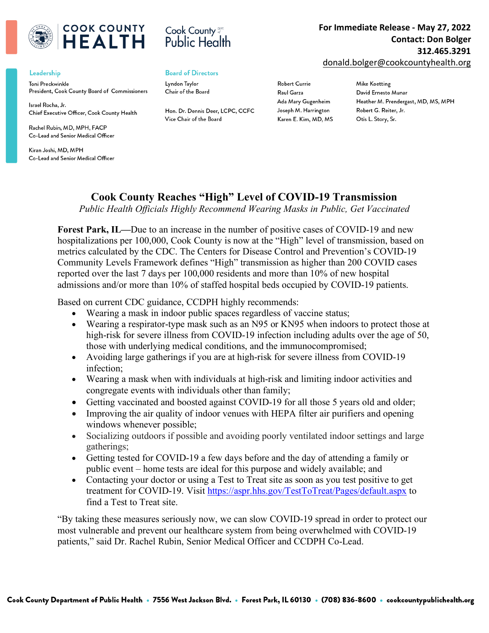

## **COOK COUNTY** IFAITH

## Leadership

Toni Preckwinkle President, Cook County Board of Commissioners

Israel Rocha, Jr. Chief Executive Officer, Cook County Health

Rachel Rubin, MD, MPH, FACP Co-Lead and Senior Medical Officer

Kiran Joshi, MD, MPH Co-Lead and Senior Medical Officer



## **Board of Directors**

Lyndon Taylor Chair of the Board

Hon. Dr. Dennis Deer, LCPC, CCFC Vice Chair of the Board

Robert Currie Raul Garza Ada Mary Gugenheim Joseph M. Harrington Karen E. Kim, MD, MS

Ear Immediate Release Ma with a great quote from the **For Immediate Release - May 27, 2022** document of use the use the space to the space to the space to the space to the space to the space to the space to the space of the space of the space of the space of the space of the space of the space of the space of the emphasize a key point. To place **Contact: Don Bolger 312.465.3291**

donald.bolger@cookcountyhealth.org

**Mike Koetting** David Ernesto Munar Heather M. Prendergast, MD, MS, MPH Robert G. Reiter, Jr. Otis L. Story, Sr.

## **Cook County Reaches "High" Level of COVID-19 Transmission**

*Public Health Officials Highly Recommend Wearing Masks in Public, Get Vaccinated*

**Forest Park, IL—**Due to an increase in the number of positive cases of COVID-19 and new hospitalizations per 100,000, Cook County is now at the "High" level of transmission, based on metrics calculated by the CDC. The Centers for Disease Control and Prevention's COVID-19 Community Levels Framework defines "High" transmission as higher than 200 COVID cases reported over the last 7 days per 100,000 residents and more than 10% of new hospital admissions and/or more than 10% of staffed hospital beds occupied by COVID-19 patients.

Based on current CDC guidance, CCDPH highly recommends:

- Wearing a mask in indoor public spaces regardless of vaccine status;
- Wearing a respirator-type mask such as an N95 or KN95 when indoors to protect those at high-risk for severe illness from COVID-19 infection including adults over the age of 50, those with underlying medical conditions, and the immunocompromised;
- Avoiding large gatherings if you are at high-risk for severe illness from COVID-19 infection;
- Wearing a mask when with individuals at high-risk and limiting indoor activities and congregate events with individuals other than family;
- Getting vaccinated and boosted against COVID-19 for all those 5 years old and older;
- Improving the air quality of indoor venues with HEPA filter air purifiers and opening windows whenever possible;
- Socializing outdoors if possible and avoiding poorly ventilated indoor settings and large gatherings;
- Getting tested for COVID-19 a few days before and the day of attending a family or public event – home tests are ideal for this purpose and widely available; and
- Contacting your doctor or using a Test to Treat site as soon as you test positive to get treatment for COVID-19. Visit <https://aspr.hhs.gov/TestToTreat/Pages/default.aspx> to find a Test to Treat site.

"By taking these measures seriously now, we can slow COVID-19 spread in order to protect our most vulnerable and prevent our healthcare system from being overwhelmed with COVID-19 patients," said Dr. Rachel Rubin, Senior Medical Officer and CCDPH Co-Lead.